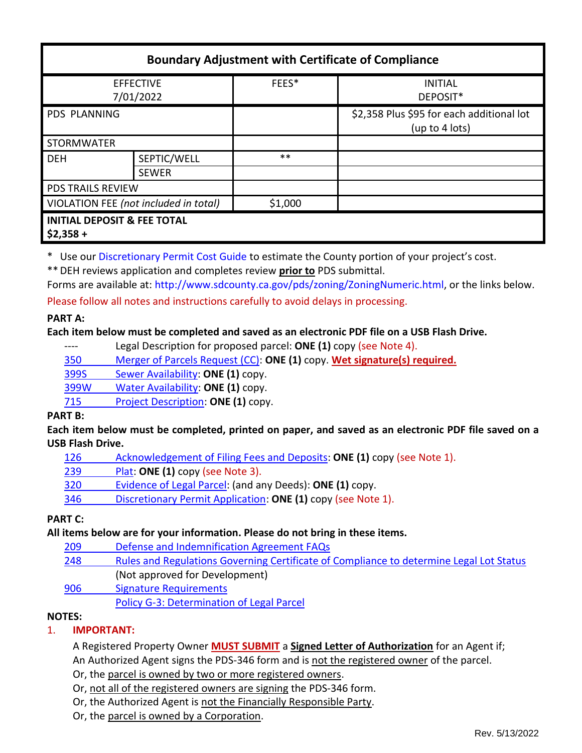| <b>Boundary Adjustment with Certificate of Compliance</b> |              |         |                                                             |  |
|-----------------------------------------------------------|--------------|---------|-------------------------------------------------------------|--|
| <b>EFFECTIVE</b><br>7/01/2022                             |              | FEES*   | <b>INITIAL</b><br>DEPOSIT*                                  |  |
| <b>PDS PLANNING</b>                                       |              |         | \$2,358 Plus \$95 for each additional lot<br>(up to 4 lots) |  |
| <b>STORMWATER</b>                                         |              |         |                                                             |  |
| <b>DEH</b>                                                | SEPTIC/WELL  | $***$   |                                                             |  |
|                                                           | <b>SEWER</b> |         |                                                             |  |
| <b>PDS TRAILS REVIEW</b>                                  |              |         |                                                             |  |
| VIOLATION FEE (not included in total)                     |              | \$1,000 |                                                             |  |
| <b>INITIAL DEPOSIT &amp; FEE TOTAL</b><br>$$2,358 +$      |              |         |                                                             |  |

\* Use ou[r Discretionary Permit Cost Guide](http://www.sandiegocounty.gov/content/dam/sdc/pds/docs/Discretionary_Permit_Cost_Guide.xlsx) to estimate the County portion of your project's cost.

\*\*DEH reviews application and completes review **prior to** PDS submittal.

Forms are available at[: http://www.sdcounty.ca.gov/pds/zoning/ZoningNumeric.html,](http://www.sdcounty.ca.gov/pds/zoning/ZoningNumeric.html) or the links below.

Please follow all notes and instructions carefully to avoid delays in processing.

#### **PART A:**

#### **Each item below must be completed and saved as an electronic PDF file on a USB Flash Drive.**

---- Legal Description for proposed parcel: **ONE (1)** copy (see Note 4).

350 [Merger of Parcels Request \(CC\):](http://www.sdcounty.ca.gov/pds/zoning/formfields/PDS-PLN-350.pdf) **ONE (1)** copy. **Wet signature(s) required.**

399S [Sewer Availability:](http://www.sdcounty.ca.gov/pds/zoning/formfields/PDS-PLN-399S.pdf) **ONE (1)** copy.

399W [Water Availability:](http://www.sdcounty.ca.gov/pds/zoning/formfields/PDS-PLN-399W.pdf) **ONE (1)** copy.

715 [Project Description:](http://www.sdcounty.ca.gov/pds/zoning/formfields/PDS-PLN-715.pdf) **ONE (1)** copy.

# **PART B:**

**Each item below must be completed, printed on paper, and saved as an electronic PDF file saved on a USB Flash Drive.**

| 126 | Acknowledgement of Filing Fees and Deposits: ONE (1) copy (see Note 1). |
|-----|-------------------------------------------------------------------------|
|     |                                                                         |

239 [Plat:](http://www.sdcounty.ca.gov/pds/zoning/formfields/PDS-239.pdf) **ONE (1)** copy (see Note 3).

320 [Evidence of Legal Parcel:](http://www.sdcounty.ca.gov/pds/zoning/formfields/PDS-PLN-320.pdf) (and any Deeds): **ONE (1)** copy.

346 [Discretionary Permit Application:](http://www.sdcounty.ca.gov/pds/zoning/formfields/PDS-PLN-346.pdf) **ONE (1)** copy (see Note 1).

# **PART C:**

**All items below are for your information. Please do not bring in these items.**

- 209 [Defense and Indemnification Agreement FAQs](http://www.sdcounty.ca.gov/pds/zoning/formfields/PDS-PLN-209.pdf)
- 248 [Rules and Regulations Governing Certificate of Compliance to determine Legal Lot Status](http://www.sdcounty.ca.gov/pds/zoning/formfields/PDS-PLN-248.pdf)  (Not approved for Development)
- [906 Signature Requirements](http://www.sdcounty.ca.gov/pds/zoning/formfields/PDS-PLN-906.pdf)

[Policy G-3: Determination of Legal Parcel](http://www.sdcounty.ca.gov/pds/zoning/formfields/POLICY-G-3.pdf)

# **NOTES:**

# 1. **IMPORTANT:**

A Registered Property Owner **MUST SUBMIT** a **Signed Letter of Authorization** for an Agent if; An Authorized Agent signs the PDS-346 form and is not the registered owner of the parcel.

Or, the parcel is owned by two or more registered owners.

- Or, not all of the registered owners are signing the PDS-346 form.
- Or, the Authorized Agent is not the Financially Responsible Party.
- Or, the parcel is owned by a Corporation.